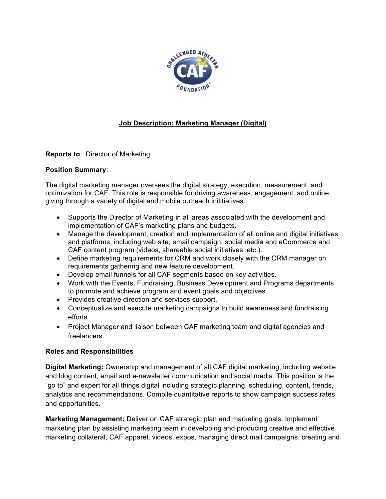

# **Job Description: Marketing Manager (Digital)**

**Reports to**: Director of Marketing

## **Position Summary**:

The digital marketing manager oversees the digital strategy, execution, measurement, and optimization for CAF. This role is responsible for driving awareness, engagement, and online giving through a variety of digital and mobile outreach inititiatives.

- Supports the Director of Marketing in all areas associated with the development and implementation of CAF's marketing plans and budgets.
- Manage the development, creation and implementation of all online and digital initiatives and platforms, including web site, email campaign, social media and eCommerce and CAF content program (videos, shareable social initiatives, etc.).
- Define marketing requirements for CRM and work closely with the CRM manager on requirements gathering and new feature development.
- Develop email funnels for all CAF segments based on key activities.
- Work with the Events, Fundraising, Business Development and Programs departments to promote and achieve program and event goals and objectives.
- Provides creative direction and services support.
- Conceptualize and execute marketing campaigns to build awareness and fundraising efforts.
- Project Manager and liaison between CAF marketing team and digital agencies and freelancers.

## **Roles and Responsibilities**

**Digital Marketing:** Ownership and management of all CAF digital marketing, including website and blog content, email and e-newsletter communication and social media. This position is the "go to" and expert for all things digital including strategic planning, scheduling, content, trends, analytics and recommendations. Compile quantitative reports to show campaign success rates and opportunities.

**Marketing Management:** Deliver on CAF strategic plan and marketing goals. Implement marketing plan by assisting marketing team in developing and producing creative and effective marketing collateral, CAF apparel, videos, expos, managing direct mail campaigns, creating and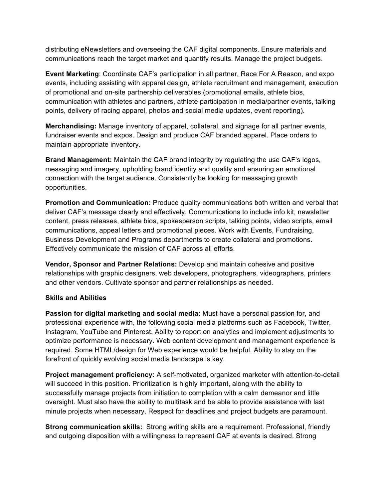distributing eNewsletters and overseeing the CAF digital components. Ensure materials and communications reach the target market and quantify results. Manage the project budgets.

**Event Marketing**: Coordinate CAF's participation in all partner, Race For A Reason, and expo events, including assisting with apparel design, athlete recruitment and management, execution of promotional and on-site partnership deliverables (promotional emails, athlete bios, communication with athletes and partners, athlete participation in media/partner events, talking points, delivery of racing apparel, photos and social media updates, event reporting).

**Merchandising:** Manage inventory of apparel, collateral, and signage for all partner events, fundraiser events and expos. Design and produce CAF branded apparel. Place orders to maintain appropriate inventory.

**Brand Management:** Maintain the CAF brand integrity by regulating the use CAF's logos, messaging and imagery, upholding brand identity and quality and ensuring an emotional connection with the target audience. Consistently be looking for messaging growth opportunities.

**Promotion and Communication:** Produce quality communications both written and verbal that deliver CAF's message clearly and effectively. Communications to include info kit, newsletter content, press releases, athlete bios, spokesperson scripts, talking points, video scripts, email communications, appeal letters and promotional pieces. Work with Events, Fundraising, Business Development and Programs departments to create collateral and promotions. Effectively communicate the mission of CAF across all efforts.

**Vendor, Sponsor and Partner Relations:** Develop and maintain cohesive and positive relationships with graphic designers, web developers, photographers, videographers, printers and other vendors. Cultivate sponsor and partner relationships as needed.

## **Skills and Abilities**

**Passion for digital marketing and social media:** Must have a personal passion for, and professional experience with, the following social media platforms such as Facebook, Twitter, Instagram, YouTube and Pinterest. Ability to report on analytics and implement adjustments to optimize performance is necessary. Web content development and management experience is required. Some HTML/design for Web experience would be helpful. Ability to stay on the forefront of quickly evolving social media landscape is key.

**Project management proficiency:** A self-motivated, organized marketer with attention-to-detail will succeed in this position. Prioritization is highly important, along with the ability to successfully manage projects from initiation to completion with a calm demeanor and little oversight. Must also have the ability to multitask and be able to provide assistance with last minute projects when necessary. Respect for deadlines and project budgets are paramount.

**Strong communication skills:** Strong writing skills are a requirement. Professional, friendly and outgoing disposition with a willingness to represent CAF at events is desired. Strong